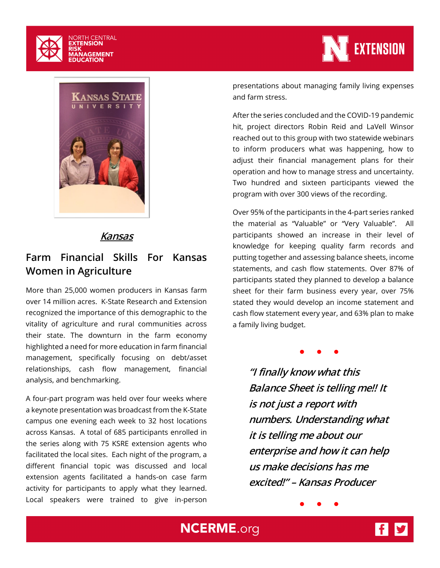



#### **Kansas**

### **Farm Financial Skills For Kansas Women in Agriculture**

More than 25,000 women producers in Kansas farm over 14 million acres. K-State Research and Extension recognized the importance of this demographic to the vitality of agriculture and rural communities across their state. The downturn in the farm economy highlighted a need for more education in farm financial management, specifically focusing on debt/asset relationships, cash flow management, financial analysis, and benchmarking.

A four-part program was held over four weeks where a keynote presentation was broadcast from the K-State campus one evening each week to 32 host locations across Kansas. A total of 685 participants enrolled in the series along with 75 KSRE extension agents who facilitated the local sites. Each night of the program, a different financial topic was discussed and local extension agents facilitated a hands-on case farm activity for participants to apply what they learned. Local speakers were trained to give in-person



presentations about managing family living expenses and farm stress.

After the series concluded and the COVID-19 pandemic hit, project directors Robin Reid and LaVell Winsor reached out to this group with two statewide webinars to inform producers what was happening, how to adjust their financial management plans for their operation and how to manage stress and uncertainty. Two hundred and sixteen participants viewed the program with over 300 views of the recording.

Over 95% of the participants in the 4-part series ranked the material as "Valuable" or "Very Valuable". All participants showed an increase in their level of knowledge for keeping quality farm records and putting together and assessing balance sheets, income statements, and cash flow statements. Over 87% of participants stated they planned to develop a balance sheet for their farm business every year, over 75% stated they would develop an income statement and cash flow statement every year, and 63% plan to make a family living budget.

● ● ●

**"I finally know what this Balance Sheet is telling me!! It is not just a report with numbers. Understanding what it is telling me about our enterprise and how it can help us make decisions has me excited!" – Kansas Producer**

● ● ●